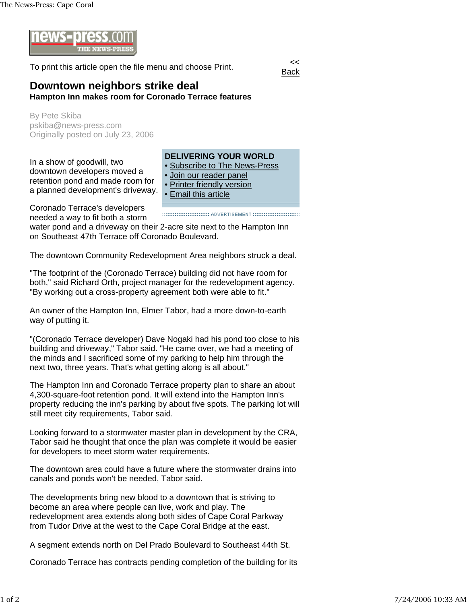

To print this article open the file menu and choose Print.



## **Downtown neighbors strike deal Hampton Inn makes room for Coronado Terrace features**

By Pete Skiba pskiba@news-press.com Originally posted on July 23, 2006

In a show of goodwill, two downtown developers moved a retention pond and made room for a planned development's driveway.

## **DELIVERING YOUR WORLD**

- Subscribe to The News-Press
- Join our reader panel
- Printer friendly version
- Email this article

Coronado Terrace's developers needed a way to fit both a storm

water pond and a driveway on their 2-acre site next to the Hampton Inn on Southeast 47th Terrace off Coronado Boulevard.

The downtown Community Redevelopment Area neighbors struck a deal.

"The footprint of the (Coronado Terrace) building did not have room for both," said Richard Orth, project manager for the redevelopment agency. "By working out a cross-property agreement both were able to fit."

An owner of the Hampton Inn, Elmer Tabor, had a more down-to-earth way of putting it.

"(Coronado Terrace developer) Dave Nogaki had his pond too close to his building and driveway," Tabor said. "He came over, we had a meeting of the minds and I sacrificed some of my parking to help him through the next two, three years. That's what getting along is all about."

The Hampton Inn and Coronado Terrace property plan to share an about 4,300-square-foot retention pond. It will extend into the Hampton Inn's property reducing the inn's parking by about five spots. The parking lot will still meet city requirements, Tabor said.

Looking forward to a stormwater master plan in development by the CRA, Tabor said he thought that once the plan was complete it would be easier for developers to meet storm water requirements.

The downtown area could have a future where the stormwater drains into canals and ponds won't be needed, Tabor said.

The developments bring new blood to a downtown that is striving to become an area where people can live, work and play. The redevelopment area extends along both sides of Cape Coral Parkway from Tudor Drive at the west to the Cape Coral Bridge at the east.

A segment extends north on Del Prado Boulevard to Southeast 44th St.

Coronado Terrace has contracts pending completion of the building for its